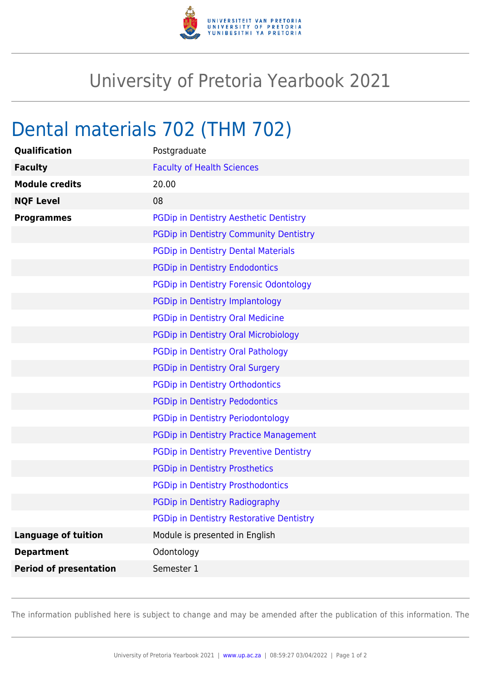

## University of Pretoria Yearbook 2021

## Dental materials 702 (THM 702)

| Qualification                 | Postgraduate                                    |
|-------------------------------|-------------------------------------------------|
| <b>Faculty</b>                | <b>Faculty of Health Sciences</b>               |
| <b>Module credits</b>         | 20.00                                           |
| <b>NQF Level</b>              | 08                                              |
| <b>Programmes</b>             | PGDip in Dentistry Aesthetic Dentistry          |
|                               | <b>PGDip in Dentistry Community Dentistry</b>   |
|                               | <b>PGDip in Dentistry Dental Materials</b>      |
|                               | <b>PGDip in Dentistry Endodontics</b>           |
|                               | PGDip in Dentistry Forensic Odontology          |
|                               | PGDip in Dentistry Implantology                 |
|                               | PGDip in Dentistry Oral Medicine                |
|                               | PGDip in Dentistry Oral Microbiology            |
|                               | PGDip in Dentistry Oral Pathology               |
|                               | PGDip in Dentistry Oral Surgery                 |
|                               | PGDip in Dentistry Orthodontics                 |
|                               | <b>PGDip in Dentistry Pedodontics</b>           |
|                               | <b>PGDip in Dentistry Periodontology</b>        |
|                               | <b>PGDip in Dentistry Practice Management</b>   |
|                               | <b>PGDip in Dentistry Preventive Dentistry</b>  |
|                               | <b>PGDip in Dentistry Prosthetics</b>           |
|                               | <b>PGDip in Dentistry Prosthodontics</b>        |
|                               | PGDip in Dentistry Radiography                  |
|                               | <b>PGDip in Dentistry Restorative Dentistry</b> |
| <b>Language of tuition</b>    | Module is presented in English                  |
| <b>Department</b>             | Odontology                                      |
| <b>Period of presentation</b> | Semester 1                                      |

The information published here is subject to change and may be amended after the publication of this information. The